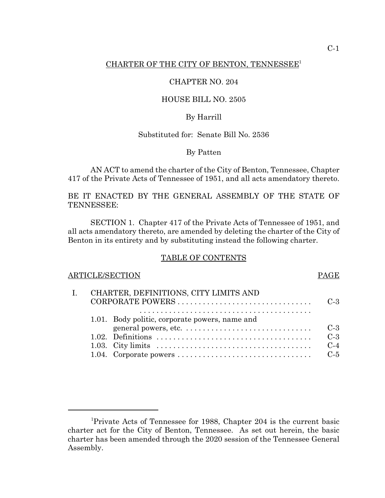## CHARTER OF THE CITY OF BENTON, TENNESSEE' CHARTER OF THE CITY OF BENTON, TENNESSEE1

#### CHAPTER NO. 204 CHAPTER NO. 204

## HOUSE BILL NO. 2505 HOUSE BILL NO. 2505

# By Harrill By Harrill

# Substituted for: Senate Bill No. 2536 Substituted for: Senate Bill No. 2536

# By Patten By Patten

AN ACT to amend the charter of the City of Benton, Tennessee, Chapter AN ACT to amend the charter of the City of Benton, Tennessee, Chapter 417 of the Private Acts of Tennessee of 1951, and all acts amendatory thereto. 417 of the Private Acts of Tennessee of 1951, and all acts amendatory thereto.

## BE IT ENACTED BY THE GENERAL ASSEMBLY OF THE STATE OF TENNESSEE: TENNESSEE:

SECTION 1. Chapter 417 of the Private Acts of Tennessee of 1951, and SECTION 1. Chapter 417 of the Private Acts of Tennessee of 1951, and all acts amendatory thereto, are amended by deleting the charter of the City of all acts amendatory thereto, are amended by deleting the charter of the City of Benton in its entirety and by substituting instead the following charter. Benton in its entirety and by substituting instead the following charter.

#### TABLE OF CONTENTS TABLE OF CONTENTS

# ARTICLE/SECTION PAGE I. CHARTER, DEFINITIONS, CITY LIMITS AND I. CHARTER, DEFINITIONS, CITY LIMITS AND CORPORATE POWERS C-3 CORPORATE POWERS . . . . . . . . . . . . . . . . . . . . . . . . . . . . . . . . C-3 1.01. Body politic, corporate powers, name and 1.01. Body politic, corporate powers, name and general powers, etc. C-3 general powers, etc. . . . . . . . . . . . . . . . . . . . . . . . . . . . . . . C-3 1.02. Definitions C-3 1.02. Definitions . . . . . . . . . . . . . . . . . . . . . . . . . . . . . . . . . . . . . C-3 1.03. City limits C-4 1.03. City limits . . . . . . . . . . . . . . . . . . . . . . . . . . . . . . . . . . . . . C-4 1.04. Corporate powers C-5 1.04. Corporate powers . . . . . . . . . . . . . . . . . . . . . . . . . . . . . . . . C-5 .........................................

<sup>&#</sup>x27;Private Acts of Tennessee for 1988, Chapter 204 is the current basic 1 Private Acts of Tennessee for 1988, Chapter 204 is the current basic charter act for the City of Benton, Tennessee. As set out herein, the basic charter has been amended through the 2020 session of the Tennessee General charter has been amended through the 2020 session of the Tennessee General Assembly. Assembly.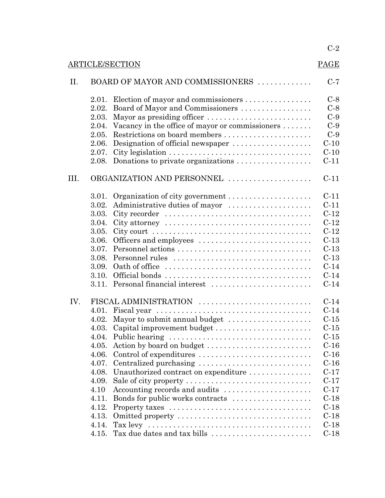|                        |                                  |                                                                                            | $C-2$  |  |  |
|------------------------|----------------------------------|--------------------------------------------------------------------------------------------|--------|--|--|
| <b>ARTICLE/SECTION</b> |                                  |                                                                                            |        |  |  |
| II.                    | BOARD OF MAYOR AND COMMISSIONERS |                                                                                            |        |  |  |
|                        | 2.01.                            | Election of mayor and commissioners                                                        | $C-8$  |  |  |
|                        | 2.02.                            | Board of Mayor and Commissioners                                                           | $C-8$  |  |  |
|                        | 2.03.                            | Mayor as presiding officer                                                                 | $C-9$  |  |  |
|                        | 2.04.                            | Vacancy in the office of mayor or commissioners                                            | $C-9$  |  |  |
|                        | 2.05.                            | Restrictions on board members                                                              | $C-9$  |  |  |
|                        | 2.06.                            | Designation of official newspaper                                                          | $C-10$ |  |  |
|                        | 2.07.                            |                                                                                            | $C-10$ |  |  |
|                        |                                  | 2.08. Donations to private organizations $\dots \dots \dots \dots \dots$                   | $C-11$ |  |  |
| III.                   | ORGANIZATION AND PERSONNEL       |                                                                                            |        |  |  |
|                        | 3.01.                            |                                                                                            | $C-11$ |  |  |
|                        | 3.02.                            | Administrative duties of mayor                                                             | $C-11$ |  |  |
|                        | 3.03.                            |                                                                                            | $C-12$ |  |  |
|                        | 3.04.                            | City attorney $\dots \dots \dots \dots \dots \dots \dots \dots \dots \dots \dots \dots$    | $C-12$ |  |  |
|                        | 3.05.                            | City court $\dots \dots \dots \dots \dots \dots \dots \dots \dots \dots \dots \dots \dots$ | $C-12$ |  |  |
|                        | 3.06.                            | Officers and employees                                                                     | $C-13$ |  |  |
|                        | 3.07.                            | Personnel actions                                                                          | $C-13$ |  |  |
|                        | 3.08.                            | Personnel rules                                                                            | $C-13$ |  |  |
|                        | 3.09.                            |                                                                                            | $C-14$ |  |  |
|                        | 3.10.                            |                                                                                            | $C-14$ |  |  |
|                        |                                  | 3.11. Personal financial interest                                                          | $C-14$ |  |  |
| IV.                    | FISCAL ADMINISTRATION            |                                                                                            | $C-14$ |  |  |
|                        |                                  |                                                                                            | $C-14$ |  |  |
|                        |                                  | 4.02. Mayor to submit annual budget                                                        | $C-15$ |  |  |
|                        |                                  | 4.03. Capital improvement budget                                                           | $C-15$ |  |  |
|                        | 4.04.                            | Public hearing                                                                             | $C-15$ |  |  |
|                        | 4.05.                            | Action by board on budget                                                                  | $C-16$ |  |  |
|                        | 4.06.                            | Control of expenditures                                                                    | $C-16$ |  |  |
|                        | 4.07.                            | Centralized purchasing                                                                     | $C-16$ |  |  |
|                        | 4.08.                            | Unauthorized contract on expenditure                                                       | $C-17$ |  |  |
|                        | 4.09.                            | Sale of city property                                                                      | $C-17$ |  |  |
|                        | 4.10                             | Accounting records and audits                                                              | $C-17$ |  |  |
|                        | 4.11.                            | Bonds for public works contracts                                                           | $C-18$ |  |  |
|                        | 4.12.                            |                                                                                            | $C-18$ |  |  |
|                        | 4.13.                            | Omitted property                                                                           | $C-18$ |  |  |
|                        | 4.14.                            |                                                                                            | $C-18$ |  |  |
|                        | 4.15.                            | Tax due dates and tax bills                                                                | $C-18$ |  |  |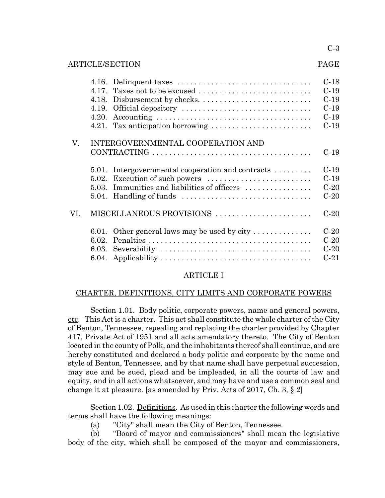#### C-3 C-3

#### ARTICLE/SECTION PAGE

#### PAGE

|     |                                   |                                                               | $C-18$ |  |  |
|-----|-----------------------------------|---------------------------------------------------------------|--------|--|--|
|     | 4.17.                             | Taxes not to be excused                                       | $C-19$ |  |  |
|     | 4.18.                             | Disbursement by checks                                        | $C-19$ |  |  |
|     | 4.19.                             | Official depository                                           | $C-19$ |  |  |
|     | 4.20.                             |                                                               | $C-19$ |  |  |
|     |                                   | 4.21. Tax anticipation borrowing                              | $C-19$ |  |  |
| V.  | INTERGOVERNMENTAL COOPERATION AND |                                                               |        |  |  |
|     |                                   |                                                               | $C-19$ |  |  |
|     | 5.01.                             | Intergovernmental cooperation and contracts $\dots\dots\dots$ | $C-19$ |  |  |
|     | 5.02.                             | Execution of such powers                                      | $C-19$ |  |  |
|     | 5.03.                             | Immunities and liabilities of officers                        | $C-20$ |  |  |
|     |                                   |                                                               | $C-20$ |  |  |
| VI. | MISCELLANEOUS PROVISIONS          |                                                               |        |  |  |
|     | 6.01.                             | Other general laws may be used by city $\dots \dots \dots$    | $C-20$ |  |  |
|     | 6.02.                             |                                                               | $C-20$ |  |  |
|     | 6.03.                             |                                                               | $C-20$ |  |  |
|     | 6.04.                             |                                                               | $C-21$ |  |  |

# ARTICLE I ARTICLE I

## CHARTER, DEFINITIONS, CITY LIMITS AND CORPORATE POWERS CHARTER, DEFINITIONS, CITY LIMITS AND CORPORATE POWERS

Section 1.01. Body politic, corporate powers, name and general powers, etc. This Act is a charter. This act shall constitute the whole charter of the City of Benton, Tennessee, repealing and replacing the charter provided by Chapter 417, Private Act of 1951 and all acts amendatory thereto. The City of Benton 417, Private Act of 1951 and all acts amendatory thereto. The City of Benton located in the county of Polk, and the inhabitants thereof shall continue, and are located in the county of Polk, and the inhabitants thereof shall continue, and are hereby constituted and declared a body politic and corporate by the name and hereby constituted and declared a body politic and corporate by the name and style of Benton, Tennessee, and by that name shall have perpetual succession, style of Benton, Tennessee, and by that name shall have perpetual succession, may sue and be sued, plead and be impleaded, in all the courts of law and may sue and be sued, plead and be impleaded, in all the courts of law and equity, and in all actions whatsoever, and may have and use a common seal and equity, and in all actions whatsoever, and may have and use a common seal and change it at pleasure. [as amended by Priv.. Acts of 2017, Ch. 3, § 2] change it at pleasure. [as amended by Priv. Acts of 2017, Ch. 3, § 2]

Section 1.02. Definitions. As used in this charter the following words and terms shall have the following meanings: terms shall have the following meanings:

(a) "City" shall mean the City of Benton, Tennessee. (a) "City" shall mean the City of Benton, Tennessee.

(b) "Board of mayor and commissioners" shall mean the legislative (b) "Board of mayor and commissioners" shall mean the legislative body of the city, which shall be composed of the mayor and commissioners, body of the city, which shall be composed of the mayor and commissioners,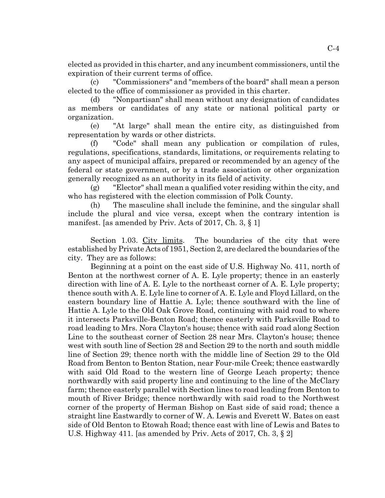elected as provided in this charter, and any incumbent commissioners, until the elected as provided in this charter, and any incumbent commissioners, until the expiration of their current terms of office. expiration of their current terms of office.

(c) "Commissioners" and "members of the board" shall mean a person (c) "Commissioners" and "members of the board" shall mean a person elected to the office of commissioner as provided in this charter.

(d) "Nonpartisan" shall mean without any designation of candidates elected to the office of commissioner as provided in this charter. (d) "Nonpartisan" shall mean without any designation of candidates as members or candidates of any state or national political party or as members or candidates of any state or national political party or organization. organization.

(e) "At large" shall mean the entire city, as distinguished from (e) "At large" shall mean the entire city, as distinguished from representation by wards or other districts. representation by wards or other districts.

(f) "Code" shall mean any publication or compilation of rules, (f) "Code" shall mean any publication or compilation of rules, regulations, specifications, standards, limitations, or requirements relating to any aspect of municipal affairs, prepared or recommended by an agency of the any aspect of municipal affairs, prepared or recommended by an agency of the federal or state government, or by a trade association or other organization federal or state government, or by a trade association or other organization generally recognized as an authority in its field of activity. generally recognized as an authority in its field of activity.

(g) "Elector" shall mean a qualified voter residing within the city, and (g) "Elector" shall mean a qualified voter residing within the city, and who has registered with the election commission of Polk County. who has registered with the election commission of Polk County.

(h) The masculine shall include the feminine, and the singular shall (h) The masculine shall include the feminine, and the singular shall include the plural and vice versa, except when the contrary intention is include the plural and vice versa, except when the contrary intention is manifest. [as amended by Priv. Acts of 2017, Ch. 3, § 1]

Section 1.03. City limits. The boundaries of the city that were established by Private Acts of 1951, Section 2, are declared the boundaries of the city. They are as follows: city. They are as follows:

Beginning at a point on the east side of U.S.. Highway No. 411, north of Beginning at a point on the east side of U.S. Highway No. 411, north of Benton at the northwest corner of A. E. Lyle property; thence in an easterly Benton at the northwest corner of A. E. Lyle property; thence in an easterly direction with line of A. E. Lyle to the northeast corner of A. E. Lyle property; direction with line of A. E. Lyle to the northeast corner of A. E. Lyle property; thence south with A. E. Lyle line to corner of A. E. Lyle and Floyd Lillard, on the thence south with A. E. Lyle line to corner of A. E. Lyle and Floyd Lillard, on the eastern boundary line of Hattie A. Lyle; thence southward with the line of eastern boundary line of Hattie A. Lyle; thence southward with the line of Hattie A. Lyle to the Old Oak Grove Road, continuing with said road to where Hattie A. Lyle to the Old Oak Grove Road, continuing with said road to where it intersects Parksville-Benton Road; thence easterly with Parksville Road to it intersects Parksville-Benton Road; thence easterly with Parksville Road to road leading to Mrs. Nora Clayton's house; thence with said road along Section Line to the southeast corner of Section 28 near Mrs. Clayton's house; thence Line to the southeast corner of Section 28 near Mrs. Clayton's house; thence west with south line of Section 28 and Section 29 to the north and south middle line of Section 29; thence north with the middle line of Section 29 to the Old Road from Benton to Benton Station, near Four-mile Creek; thence eastwardly Road from Benton to Benton Station, near Four-mile Creek; thence eastwardly with said Old Road to the western line of George Leach property; thence with said Old Road to the western line of George Leach property; thence northwardly with said property line and continuing to the line of the McClary northwardly with said property line and continuing to the line of the McClary farm; thence easterly parallel with Section lines to road leading from Benton to farm; thence easterly parallel with Section lines to road leading from Benton to mouth of River Bridge; thence northwardly with said road to the Northwest mouth of River Bridge; thence northwardly with said road to the Northwest corner of the property of Herman Bishop on East side of said road; thence a corner of the property of Herman Bishop on East side of said road; thence a straight line Eastwardly to corner of W. A. Lewis and Everett W. Bates on east side of Old Benton to Etowah Road; thence east with line of Lewis and Bates to U.S.. Highway 411. [as amended by Priv.. Acts of 2017, Ch. 3, § 2] U.S. Highway 411. [as amended by Priv. Acts of 2017, Ch. 3, § 2]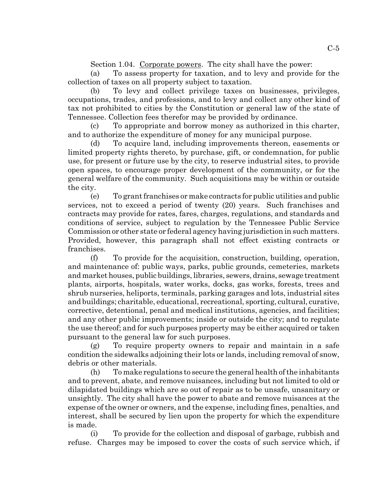Section 1.04. Corporate powers. The city shall have the power:

(a) To assess property for taxation, and to levy and provide for the (a) To assess property for taxation, and to levy and provide for the collection of taxes on all property subject to taxation. collection of taxes on all property subject to taxation.

(b) To levy and collect privilege taxes on businesses, privileges, (b) To levy and collect privilege taxes on businesses, privileges, occupations, trades, and professions, and to levy and collect any other kind of occupations, trades, and professions, and to levy and collect any other kind of tax not prohibited to cities by the Constitution or general law of the state of Tennessee. Collection fees therefor may be provided by ordinance. Tennessee. Collection fees therefor may be provided by ordinance.

(c) To appropriate and borrow money as authorized in this charter, (c) To appropriate and borrow money as authorized in this charter, and to authorize the expenditure of money for any municipal purpose. and to authorize the expenditure of money for any municipal purpose.

(d) To acquire land, including improvements thereon, easements or (d) To acquire land, including improvements thereon, easements or limited property rights thereto, by purchase, gift, or condemnation, for public limited property rights thereto, by purchase, gift, or condemnation, for public use, for present or future use by the city, to reserve industrial sites, to provide use, for present or future use by the city, to reserve industrial sites, to provide open spaces, to encourage proper development of the community, or for the general welfare of the community. Such acquisitions may be within or outside general welfare of the community. Such acquisitions may be within or outside the city. the city.

(e) To grant franchises or make contracts for public utilities and public (e) To grant franchises or make contracts for public utilities and public services, not to exceed a period of twenty (20) years. Such franchises and services, not to exceed a period of twenty (20) years. Such franchises and contracts may provide for rates, fares, charges, regulations, and standards and contracts may provide for rates, fares, charges, regulations, and standards and conditions of service, subject to regulation by the Tennessee Public Service conditions of service, subject to regulation by the Tennessee Public Service Commission or other state or federal agency having jurisdiction in such matters. Commission or other state or federal agency having jurisdiction in such matters. Provided, however, this paragraph shall not effect existing contracts or Provided, however, this paragraph shall not effect existing contracts or franchises. franchises.

(f) To provide for the acquisition, construction, building, operation, (f) To provide for the acquisition, construction, building, operation, and maintenance of: public ways, parks, public grounds, cemeteries, markets and maintenance of: public ways, parks, public grounds, cemeteries, markets and market houses, public buildings, libraries, sewers, drains, sewage treatment and market houses, public buildings, libraries, sewers, drains, sewage treatment plants, airports, hospitals, water works, docks, gas works, forests, trees and plants, airports, hospitals, water works, docks, gas works, forests, trees and shrub nurseries, heliports, terminals, parking garages and lots, industrial sites shrub nurseries, heliports, terminals, parking garages and lots, industrial sites and buildings; charitable, educational, recreational, sporting, cultural, curative, and buildings; charitable, educational, recreational, sporting, cultural, curative, corrective, detentional, penal and medical institutions, agencies, and facilities; corrective, detentional, penal and medical institutions, agencies, and facilities; and any other public improvements; inside or outside the city; and to regulate and any other public improvements; inside or outside the city; and to regulate the use thereof; and for such purposes property may be either acquired or taken the use thereof; and for such purposes property may be either acquired or taken pursuant to the general law for such purposes. pursuant to the general law for such purposes.

(g) To require property owners to repair and maintain in a safe (g) To require property owners to repair and maintain in a safe condition the sidewalks adjoining their lots or lands, including removal of snow, condition the sidewalks adjoining their lots or lands, including removal of snow, debris or other materials. debris or other materials.

(h) To make regulations to secure the general health of the inhabitants (h) To make regulations to secure the general health of the inhabitants and to prevent, abate, and remove nuisances, including but not limited to old or and to prevent, abate, and remove nuisances, including but not limited to old or dilapidated buildings which are so out of repair as to be unsafe, unsanitary or dilapidated buildings which are so out of repair as to be unsafe, unsanitary or unsightly. The city shall have the power to abate and remove nuisances at the unsightly. The city shall have the power to abate and remove nuisances at the expense of the owner or owners, and the expense, including fines, penalties, and expense of the owner or owners, and the expense, including fines, penalties, and interest, shall be secured by lien upon the property for which the expenditure interest, shall be secured by lien upon the property for which the expenditure is made. is made.

(i) To provide for the collection and disposal of garbage, rubbish and (i) To provide for the collection and disposal of garbage, rubbish and refuse. Charges may be imposed to cover the costs of such service which, if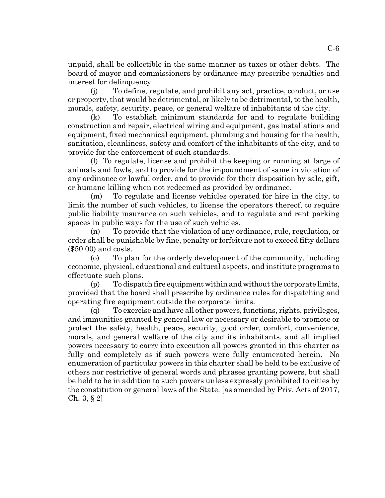unpaid, shall be collectible in the same manner as taxes or other debts. The unpaid, shall be collectible in the same manner as taxes or other debts. The board of mayor and commissioners by ordinance may prescribe penalties and board of mayor and commissioners by ordinance may prescribe penalties and interest for delinquency. interest for delinquency.

(j) To define, regulate, and prohibit any act, practice, conduct, or use (j) To define, regulate, and prohibit any act, practice, conduct, or use or property, that would be detrimental, or likely to be detrimental, to the health, or property, that would be detrimental, or likely to be detrimental, to the health, morals, safety, security, peace, or general welfare of inhabitants of the city. morals, safety, security, peace, or general welfare of inhabitants of the city.

(k) To establish minimum standards for and to regulate building (k) To establish minimum standards for and to regulate building construction and repair, electrical wiring and equipment, gas installations and construction and repair, electrical wiring and equipment, gas installations and equipment, fixed mechanical equipment, plumbing and housing for the health, equipment, fixed mechanical equipment, plumbing and housing for the health, sanitation, cleanliness, safety and comfort of the inhabitants of the city, and to sanitation, cleanliness, safety and comfort of the inhabitants of the city, and to provide for the enforcement of such standards. provide for the enforcement of such standards.

(1) To regulate, license and prohibit the keeping or running at large of (l) To regulate, license and prohibit the keeping or running at large of animals and fowls, and to provide for the impoundment of same in violation of animals and fowls, and to provide for the impoundment of same in violation of any ordinance or lawful order, and to provide for their disposition by sale, gift, any ordinance or lawful order, and to provide for their disposition by sale, gift, or humane killing when not redeemed as provided by ordinance. or humane killing when not redeemed as provided by ordinance.

(m) To regulate and license vehicles operated for hire in the city, to (m) To regulate and license vehicles operated for hire in the city, to limit the number of such vehicles, to license the operators thereof, to require limit the number of such vehicles, to license the operators thereof, to require public liability insurance on such vehicles, and to regulate and rent parking public liability insurance on such vehicles, and to regulate and rent parking spaces in public ways for the use of such vehicles. spaces in public ways for the use of such vehicles.

(n) To provide that the violation of any ordinance, rule, regulation, or (n) To provide that the violation of any ordinance, rule, regulation, or order shall be punishable by fine, penalty or forfeiture not to exceed fifty dollars order shall be punishable by fine, penalty or forfeiture not to exceed fifty dollars (\$50.00) and costs. (\$50.00) and costs.

(o) To plan for the orderly development of the community, including (o) To plan for the orderly development of the community, including economic, physical, educational and cultural aspects, and institute programs to economic, physical, educational and cultural aspects, and institute programs to effectuate such plans. effectuate such plans.

(p) To dispatch fire equipment within and without the corporate limits, (p) To dispatch fire equipment within and without the corporate limits, provided that the board shall prescribe by ordinance rules for dispatching and provided that the board shall prescribe by ordinance rules for dispatching and operating fire equipment outside the corporate limits. operating fire equipment outside the corporate limits.

(q) To exercise and have all other powers, functions, rights, privileges, (q) To exercise and have all other powers, functions, rights, privileges, and immunities granted by general law or necessary or desirable to promote or and immunities granted by general law or necessary or desirable to promote or protect the safety, health, peace, security, good order, comfort, convenience, protect the safety, health, peace, security, good order, comfort, convenience, morals, and general welfare of the city and its inhabitants, and all implied morals, and general welfare of the city and its inhabitants, and all implied powers necessary to carry into execution all powers granted in this charter as powers necessary to carry into execution all powers granted in this charter as fully and completely as if such powers were fully enumerated herein. No fully and completely as if such powers were fully enumerated herein. No enumeration of particular powers in this charter shall be held to be exclusive of enumeration of particular powers in this charter shall be held to be exclusive of others nor restrictive of general words and phrases granting powers, but shall be held to be in addition to such powers unless expressly prohibited to cities by the constitution or general laws of the State. [as amended by Priv.. Acts of 2017, the constitution or general laws of the State. [as amended by Priv. Acts of 2017, Ch. 3, § 2] Ch. 3, § 2]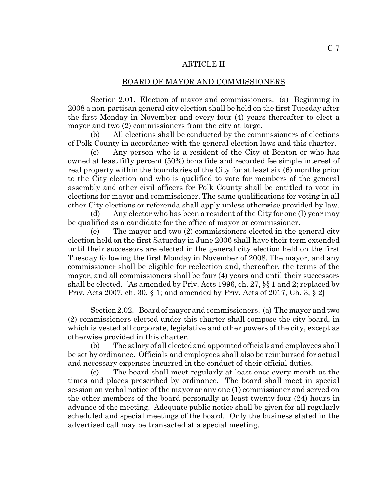# ARTICLE II ARTICLE II

## BOARD OF MAYOR AND COMMISSIONERS BOARD OF MAYOR AND COMMISSIONERS

Section 2.01. Election of mayor and commissioners. (a) Beginning in 2008 a non-partisan general city election shall be held on the first Tuesday after 2008 a non-partisan general city election shall be held on the first Tuesday after the first Monday in November and every four (4) years thereafter to elect a the first Monday in November and every four (4) years thereafter to elect a mayor and two (2) commissioners from the city at large. mayor and two (2) commissioners from the city at large.

(b) All elections shall be conducted by the commissioners of elections (b) All elections shall be conducted by the commissioners of elections of Polk County in accordance with the general election laws and this charter. of Polk County in accordance with the general election laws and this charter.

(c) Any person who is a resident of the City of Benton or who has (c) Any person who is a resident of the City of Benton or who has owned at least fifty percent (50%) bona fide and recorded fee simple interest of owned at least fifty percent (50%) bona fide and recorded fee simple interest of real property within the boundaries of the City for at least six (6) months prior to the City election and who is qualified to vote for members of the general to the City election and who is qualified to vote for members of the general assembly and other civil officers for Polk County shall be entitled to vote in assembly and other civil officers for Polk County shall be entitled to vote in elections for mayor and commissioner. The same qualifications for voting in all elections for mayor and commissioner. The same qualifications for voting in all other City elections or referenda shall apply unless otherwise provided by law. other City elections or referenda shall apply unless otherwise provided by law.

(d) Any elector who has been a resident of the City for one (I) year may (d) Any elector who has been a resident of the City for one (I) year may be qualified as a candidate for the office of mayor or commissioner. be qualified as a candidate for the office of mayor or commissioner.

(e) The mayor and two (2) commissioners elected in the general city (e) The mayor and two (2) commissioners elected in the general city election held on the first Saturday in June 2006 shall have their term extended election held on the first Saturday in June 2006 shall have their term extended until their successors are elected in the general city election held on the first until their successors are elected in the general city election held on the first Tuesday following the first Monday in November of 2008. The mayor, and any Tuesday following the first Monday in November of 2008. The mayor, and any commissioner shall be eligible for reelection and, thereafter, the terms of the commissioner shall be eligible for reelection and, thereafter, the terms of the mayor, and all commissioners shall be four (4) years and until their successors mayor, and all commissioners shall be four (4) years and until their successors shall be elected. [As amended by Priv.. Acts 1996, ch. 27, §§ 1 and 2; replaced by shall be elected. [As amended by Priv. Acts 1996, ch. 27, §§ 1 and 2; replaced by Priv. Acts 2007, ch. 30, § 1; and amended by Priv. Acts of 2017, Ch. 3, § 2]

Section 2.02. Board of mayor and commissioners. (a) The mayor and two (2) commissioners elected under this charter shall compose the city board, in (2) commissioners elected under this charter shall compose the city board, in which is vested all corporate, legislative and other powers of the city, except as which is vested all corporate, legislative and other powers of the city, except as otherwise provided in this charter. otherwise provided in this charter.

(b) The salary of all elected and appointed officials and employees shall (b) The salary of all elected and appointed officials and employees shall be set by ordinance. Officials and employees shall also be reimbursed for actual be set by ordinance. Officials and employees shall also be reimbursed for actual and necessary expenses incurred in the conduct of their official duties. and necessary expenses incurred in the conduct of their official duties.

(c) The board shall meet regularly at least once every month at the (c) The board shall meet regularly at least once every month at the times and places prescribed by ordinance. The board shall meet in special times and places prescribed by ordinance. The board shall meet in special session on verbal notice of the mayor or any one (1) commissioner and served on session on verbal notice of the mayor or any one (1) commissioner and served on the other members of the board personally at least twenty-four (24) hours in the other members of the board personally at least twenty-four (24) hours in advance of the meeting. Adequate public notice shall be given for all regularly advance of the meeting. Adequate public notice shall be given for all regularly scheduled and special meetings of the board. Only the business stated in the scheduled and special meetings of the board. Only the business stated in the advertised call may be transacted at a special meeting. advertised call may be transacted at a special meeting.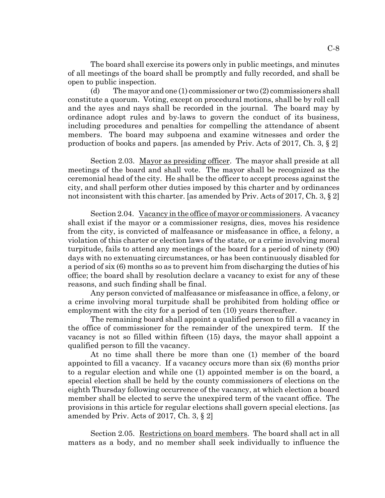The board shall exercise its powers only in public meetings, and minutes The board shall exercise its powers only in public meetings, and minutes of all meetings of the board shall be promptly and fully recorded, and shall be open to public inspection. open to public inspection.

(d) The mayor and one (1) commissioner or two (2) commissioners shall (d) The mayor and one (1) commissioner or two (2) commissioners shall constitute a quorum. Voting, except on procedural motions, shall be by roll call and the ayes and nays shall be recorded in the journal. The board may by and the ayes and nays shall be recorded in the journal. The board may by ordinance adopt rules and by-laws to govern the conduct of its business, ordinance adopt rules and by-laws to govern the conduct of its business, including procedures and penalties for compelling the attendance of absent including procedures and penalties for compelling the attendance of absent members. The board may subpoena and examine witnesses and order the members. The board may subpoena and examine witnesses and order the production of books and papers. [as amended by Priv.. Acts of 2017, Ch. 3, § 2] production of books and papers. [as amended by Priv. Acts of 2017, Ch. 3, § 2]

Section 2.03. Mayor as presiding officer. The mayor shall preside at all meetings of the board and shall vote. The mayor shall be recognized as the meetings of the board and shall vote. The mayor shall be recognized as the ceremonial head of the city. He shall be the officer to accept process against the ceremonial head of the city. He shall be the officer to accept process against the city, and shall perform other duties imposed by this charter and by ordinances city, and shall perform other duties imposed by this charter and by ordinances not inconsistent with this charter. [as amended by Priv.. Acts of 2017, Ch. 3, § 2] not inconsistent with this charter. [as amended by Priv. Acts of 2017, Ch. 3, § 2]

Section 2.04. Vacancy in the office of mayor or commissioners. A vacancy shall exist if the mayor or a commissioner resigns, dies, moves his residence from the city, is convicted of malfeasance or misfeasance in office, a felony, a from the city, is convicted of malfeasance or misfeasance in office, a felony, a violation of this charter or election laws of the state, or a crime involving moral violation of this charter or election laws of the state, or a crime involving moral turpitude, fails to attend any meetings of the board for a period of ninety (90) turpitude, fails to attend any meetings of the board for a period of ninety (90) days with no extenuating circumstances, or has been continuously disabled for days with no extenuating circumstances, or has been continuously disabled for a period of six (6) months so as to prevent him from discharging the duties of his a period of six (6) months so as to prevent him from discharging the duties of his office; the board shall by resolution declare a vacancy to exist for any of these reasons, and such finding shall be final. reasons, and such finding shall be final.

Any person convicted of malfeasance or misfeasance in office, a felony, or Any person convicted of malfeasance or misfeasance in office, a felony, or a crime involving moral turpitude shall be prohibited from holding office or a crime involving moral turpitude shall be prohibited from holding office or employment with the city for a period of ten (10) years thereafter. employment with the city for a period of ten (10) years thereafter.

The remaining board shall appoint a qualified person to fill a vacancy in The remaining board shall appoint a qualified person to fill a vacancy in the office of commissioner for the remainder of the unexpired term. If the vacancy is not so filled within fifteen (15) days, the mayor shall appoint a vacancy is not so filled within fifteen (15) days, the mayor shall appoint a qualified person to fill the vacancy. qualified person to fill the vacancy.

At no time shall there be more than one (1) member of the board At no time shall there be more than one (1) member of the board appointed to fill a vacancy. If a vacancy occurs more than six (6) months prior appointed to fill a vacancy. If a vacancy occurs more than six (6) months prior to a regular election and while one (1) appointed member is on the board, a special election shall be held by the county commissioners of elections on the eighth Thursday following occurrence of the vacancy, at which election a board eighth Thursday following occurrence of the vacancy, at which election a board member shall be elected to serve the unexpired term of the vacant office. The member shall be elected to serve the unexpired term of the vacant office. The provisions in this article for regular elections shall govern special elections. [as provisions in this article for regular elections shall govern special elections. [as amended by Priv.. Acts of 2017, Ch. 3, § 2] amended by Priv. Acts of 2017, Ch. 3, § 2]

Section 2.05. Restrictions on board members. The board shall act in all matters as a body, and no member shall seek individually to influence the matters as a body, and no member shall seek individually to influence the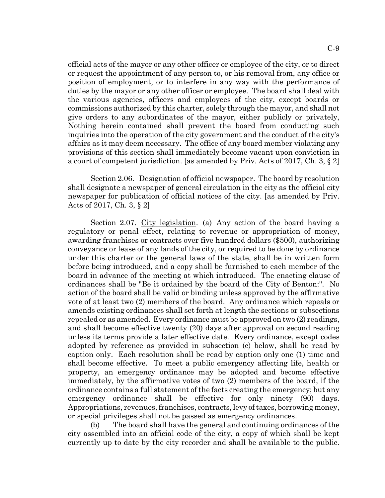official acts of the mayor or any other officer or employee of the city, or to direct or request the appointment of any person to, or his removal from, any office or position of employment, or to interfere in any way with the performance of position of employment, or to interfere in any way with the performance of duties by the mayor or any other officer or employee. The board shall deal with duties by the mayor or any other officer or employee. The board shall deal with the various agencies, officers and employees of the city, except boards or the various agencies, officers and employees of the city, except boards or commissions authorized by this charter, solely through the mayor, and shall not commissions authorized by this charter, solely through the mayor, and shall not give orders to any subordinates of the mayor, either publicly or privately, give orders to any subordinates of the mayor, either publicly or privately, Nothing herein contained shall prevent the board from conducting such Nothing herein contained shall prevent the board from conducting such inquiries into the operation of the city government and the conduct of the city's inquiries into the operation of the city government and the conduct of the city's affairs as it may deem necessary. The office of any board member violating any affairs as it may deem necessary. The office of any board member violating any provisions of this section shall immediately become vacant upon conviction in provisions of this section shall immediately become vacant upon conviction in a court of competent jurisdiction. [as amended by Priv. Acts of 2017, Ch. 3, § 2]

Section 2.06. Designation of official newspaper. The board by resolution shall designate a newspaper of general circulation in the city as the official city shall designate a newspaper of general circulation in the city as the official city newspaper for publication of official notices of the city. [as amended by Priv.. newspaper for publication of official notices of the city. [as amended by Priv. Acts of 2017, Ch. 3, § 2] Acts of 2017, Ch. 3, § 2]

Section 2.07. City legislation. (a) Any action of the board having a regulatory or penal effect, relating to revenue or appropriation of money, awarding franchises or contracts over five hundred dollars (\$500), authorizing awarding franchises or contracts over five hundred dollars (\$500), authorizing conveyance or lease of any lands of the city, or required to be done by ordinance conveyance or lease of any lands of the city, or required to be done by ordinance under this charter or the general laws of the state, shall be in written form under this charter or the general laws of the state, shall be in written form before being introduced, and a copy shall be furnished to each member of the before being introduced, and a copy shall be furnished to each member of the board in advance of the meeting at which introduced. The enacting clause of board in advance of the meeting at which introduced. The enacting clause of ordinances shall be "Be it ordained by the board of the City of Benton:". No action of the board shall be valid or binding unless approved by the affirmative action of the board shall be valid or binding unless approved by the affirmative vote of at least two (2) members of the board. Any ordinance which repeals or vote of at least two (2) members of the board. Any ordinance which repeals or amends existing ordinances shall set forth at length the sections or subsections amends existing ordinances shall set forth at length the sections or subsections repealed or as amended. Every ordinance must be approved on two (2) readings, repealed or as amended. Every ordinance must be approved on two (2) readings, and shall become effective twenty (20) days after approval on second reading and shall become effective twenty (20) days after approval on second reading unless its terms provide a later effective date. Every ordinance, except codes unless its terms provide a later effective date. Every ordinance, except codes adopted by reference as provided in subsection (c) below, shall be read by adopted by reference as provided in subsection (c) below, shall be read by caption only. Each resolution shall be read by caption only one (1) time and caption only. Each resolution shall be read by caption only one (1) time and shall become effective. To meet a public emergency affecting life, health or shall become effective. To meet a public emergency affecting life, health or property, an emergency ordinance may be adopted and become effective property, an emergency ordinance may be adopted and become effective immediately, by the affirmative votes of two (2) members of the board, if the immediately, by the affirmative votes of two (2) members of the board, if the ordinance contains a full statement of the facts creating the emergency; but any ordinance contains a full statement of the facts creating the emergency; but any emergency ordinance shall be effective for only ninety (90) days.<br>Appropriations, revenues, franchises, contracts, levy of taxes, borrowing money, Appropriations, revenues, franchises, contracts, levy of taxes, borrowing money, or special privileges shall not be passed as emergency ordinances. or special privileges shall not be passed as emergency ordinances.

(b) The board shall have the general and continuing ordinances of the (b) The board shall have the general and continuing ordinances of the city assembled into an official code of the city, a copy of which shall be kept city assembled into an official code of the city, a copy of which shall be kept currently up to date by the city recorder and shall be available to the public. currently up to date by the city recorder and shall be available to the public.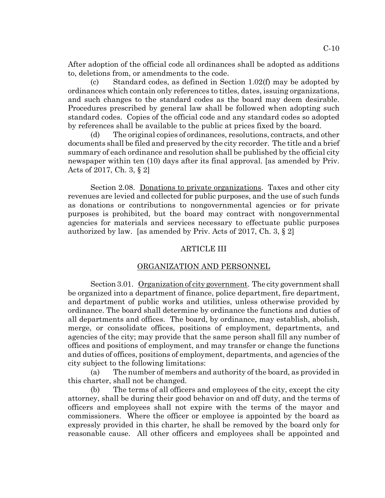After adoption of the official code all ordinances shall be adopted as additions to, deletions from, or amendments to the code.

(c) Standard codes, as defined in Section 1.02(f) may be adopted by (c) Standard codes, as defined in Section 1.02(f) may be adopted by ordinances which contain only references to titles, dates, issuing organizations, ordinances which contain only references to titles, dates, issuing organizations, and such changes to the standard codes as the board may deem desirable. and such changes to the standard codes as the board may deem desirable.<br>Procedures prescribed by general law shall be followed when adopting such standard codes. Copies of the official code and any standard codes so adopted standard codes. Copies of the official code and any standard codes so adopted by references shall be available to the public at prices fixed by the board. by references shall be available to the public at prices fixed by the board.

(d) The original copies of ordinances, resolutions, contracts, and other (d) The original copies of ordinances, resolutions, contracts, and other documents shall be filed and preserved by the city recorder. The title and a brief documents shall be filed and preserved by the city recorder. The title and a brief summary of each ordinance and resolution shall be published by the official city summary of each ordinance and resolution shall be published by the official city newspaper within ten (10) days after its final approval. [as amended by Priv.. newspaper within ten (10) days after its final approval. [as amended by Priv. Acts of 2017, Ch. 3, § 2] Acts of 2017, Ch. 3, § 2]

Section 2.08. Donations to private organizations. Taxes and other city revenues are levied and collected for public purposes, and the use of such funds revenues are levied and collected for public purposes, and the use of such funds as donations or contributions to nongovernmental agencies or for private as donations or contributions to nongovernmental agencies or for private purposes is prohibited, but the board may contract with nongovernmental purposes is prohibited, but the board may contract with nongovernmental agencies for materials and services necessary to effectuate public purposes agencies for materials and services necessary to effectuate public purposes authorized by law. [as amended by Priv.. Acts of 2017, Ch. 3, § 2] authorized by law. [as amended by Priv. Acts of 2017, Ch. 3, § 2]

# ARTICLE III ARTICLE III

#### ORGANIZATION AND PERSONNEL ORGANIZATION AND PERSONNEL

Section 3.01. Organization of city government. The city government shall be organized into a department of finance, police department, fire department, be organized into a department of finance, police department, fire department, and department of public works and utilities, unless otherwise provided by and department of public works and utilities, unless otherwise provided by ordinance. The board shall determine by ordinance the functions and duties of all departments and offices. The board, by ordinance, may establish, abolish, all departments and offices. The board, by ordinance, may establish, abolish, merge, or consolidate offices, positions of employment, departments, and merge, or consolidate offices, positions of employment, departments, and agencies of the city; may provide that the same person shall fill any number of agencies of the city; may provide that the same person shall fill any number of offices and positions of employment, and may transfer or change the functions offices and positions of employment, and may transfer or change the functions and duties of offices, positions of employment, departments, and agencies of the and duties of offices, positions of employment, departments, and agencies of the city subject to the following limitations: city subject to the following limitations:

(a) The number of members and authority of the board, as provided in (a) The number of members and authority of the board, as provided in this charter, shall not be changed. this charter, shall not be changed.

(b) The terms of all officers and employees of the city, except the city (b) The terms of all officers and employees of the city, except the city attorney, shall be during their good behavior on and off duty, and the terms of attorney, shall be during their good behavior on and off duty, and the terms of officers and employees shall not expire with the terms of the mayor and officers and employees shall not expire with the terms of the mayor and commissioners. Where the officer or employee is appointed by the board as commissioners. Where the officer or employee is appointed by the board as expressly provided in this charter, he shall be removed by the board only for expressly provided in this charter, he shall be removed by the board only for reasonable cause. All other officers and employees shall be appointed and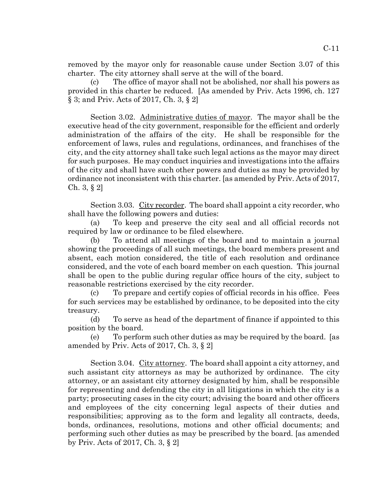removed by the mayor only for reasonable cause under Section 3.07 of this removed by the mayor only for reasonable cause under Section 3.07 of this charter. The city attorney shall serve at the will of the board. charter. The city attorney shall serve at the will of the board.

(c) The office of mayor shall not be abolished, nor shall his powers as (c) The office of mayor shall not be abolished, nor shall his powers as provided in this charter be reduced. [As amended by Priv.. Acts 1996, ch. 127 provided in this charter be reduced. [As amended by Priv. Acts 1996, ch. 127 § 3; and Priv. Acts of 2017, Ch. 3, § 2]

Section 3.02. Administrative duties of mayor. The mayor shall be the executive head of the city government, responsible for the efficient and orderly executive head of the city government, responsible for the efficient and orderly administration of the affairs of the city. He shall be responsible for the administration of the affairs of the city. He shall be responsible for the enforcement of laws, rules and regulations, ordinances, and franchises of the enforcement of laws, rules and regulations, ordinances, and franchises of the city, and the city attorney shall take such legal actions as the mayor may direct city, and the city attorney shall take such legal actions as the mayor may direct for such purposes. He may conduct inquiries and investigations into the affairs for such purposes. He may conduct inquiries and investigations into the affairs of the city and shall have such other powers and duties as may be provided by of the city and shall have such other powers and duties as may be provided by ordinance not inconsistent with this charter. [as amended by Priv. Acts of 2017, Ch. 3, § 2] Ch. 3, § 2]

Section 3.03. City recorder. The board shall appoint a city recorder, who shall have the following powers and duties: shall have the following powers and duties:

(a) To keep and preserve the city seal and all official records not (a) To keep and preserve the city seal and all official records not required by law or ordinance to be filed elsewhere. required by law or ordinance to be filed elsewhere.

(b) To attend all meetings of the board and to maintain a journal (b) To attend all meetings of the board and to maintain a journal showing the proceedings of all such meetings, the board members present and showing the proceedings of all such meetings, the board members present and absent, each motion considered, the title of each resolution and ordinance absent, each motion considered, the title of each resolution and ordinance considered, and the vote of each board member on each question. This journal considered, and the vote of each board member on each question. This journal shall be open to the public during regular office hours of the city, subject to shall be open to the public during regular office hours of the city, subject to reasonable restrictions exercised by the city recorder.

(c) To prepare and certify copies of official records in his office. Fees (c) To prepare and certify copies of official records in his office. Fees for such services may be established by ordinance, to be deposited into the city for such services may be established by ordinance, to be deposited into the city treasury. treasury.

(d) To serve as head of the department of finance if appointed to this (d) To serve as head of the department of finance if appointed to this position by the board. position by the board.

(e) To perform such other duties as may be required by the board. [as (e) To perform such other duties as may be required by the board. [as amended by Priv.. Acts of 2017, Ch. 3, § 2] amended by Priv. Acts of 2017, Ch. 3, § 2]

Section 3.04. City attorney. The board shall appoint a city attorney, and such assistant city attorneys as may be authorized by ordinance. The city such assistant city attorneys as may be authorized by ordinance. The city attorney, or an assistant city attorney designated by him, shall be responsible attorney, or an assistant city attorney designated by him, shall be responsible for representing and defending the city in all litigations in which the city is a for representing and defending the city in all litigations in which the city is a party; prosecuting cases in the city court; advising the board and other officers party; prosecuting cases in the city court; advising the board and other officers and employees of the city concerning legal aspects of their duties and responsibilities; approving as to the form and legality all contracts, deeds, responsibilities; approving as to the form and legality all contracts, deeds, bonds, ordinances, resolutions, motions and other official documents; and bonds, ordinances, resolutions, motions and other official documents; and performing such other duties as may be prescribed by the board. [as amended performing such other duties as may be prescribed by the board. [as amended by Priv.. Acts of 2017, Ch. 3, § 2] by Priv. Acts of 2017, Ch. 3, § 2]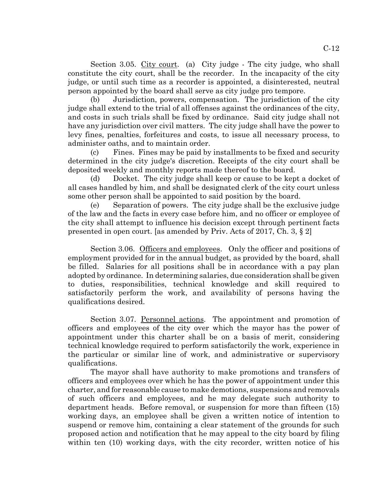Section 3.05. City court. (a) City judge - The city judge, who shall constitute the city court, shall be the recorder. In the incapacity of the city constitute the city court, shall be the recorder. In the incapacity of the city judge, or until such time as a recorder is appointed, a disinterested, neutral judge, or until such time as a recorder is appointed, a disinterested, neutral person appointed by the board shall serve as city judge pro tempore. person appointed by the board shall serve as city judge pro tempore.

(b) Jurisdiction, powers, compensation. The jurisdiction of the city (b) Jurisdiction, powers, compensation. The jurisdiction of the city judge shall extend to the trial of all offenses against the ordinances of the city, judge shall extend to the trial of all offenses against the ordinances of the city, and costs in such trials shall be fixed by ordinance. Said city judge shall not and costs in such trials shall be fixed by ordinance. Said city judge shall not have any jurisdiction over civil matters. The city judge shall have the power to have any jurisdiction over civil matters. The city judge shall have the power to levy fines, penalties, forfeitures and costs, to issue all necessary process, to levy fines, penalties, forfeitures and costs, to issue all necessary process, to administer oaths, and to maintain order. administer oaths, and to maintain order.

(c) Fines. Fines may be paid by installments to be fixed and security (c) Fines. Fines may be paid by installments to be fixed and security determined in the city judge's discretion. Receipts of the city court shall be determined in the city judge's discretion. Receipts of the city court shall be deposited weekly and monthly reports made thereof to the board. deposited weekly and monthly reports made thereof to the board.

(d) Docket. The city judge shall keep or cause to be kept a docket of (d) Docket. The city judge shall keep or cause to be kept a docket of all cases handled by him, and shall be designated clerk of the city court unless all cases handled by him, and shall be designated clerk of the city court unless some other person shall be appointed to said position by the board. some other person shall be appointed to said position by the board.

(e) Separation of powers. The city judge shall be the exclusive judge (e) Separation of powers. The city judge shall be the exclusive judge of the law and the facts in every case before him, and no officer or employee of of the law and the facts in every case before him, and no officer or employee of the city shall attempt to influence his decision except through pertinent facts the city shall attempt to influence his decision except through pertinent facts presented in open court. [as amended by Priv.. Acts of 2017, Ch. 3, § 2] presented in open court. [as amended by Priv. Acts of 2017, Ch. 3, § 2]

Section 3.06. Officers and employees. Only the officer and positions of employment provided for in the annual budget, as provided by the board, shall employment provided for in the annual budget, as provided by the board, shall be filled. Salaries for all positions shall be in accordance with a pay plan be filled. Salaries for all positions shall be in accordance with a pay plan adopted by ordinance. In determining salaries, due consideration shall be given adopted by ordinance. In determining salaries, due consideration shall be given to duties, responsibilities, technical knowledge and skill required to to duties, responsibilities, technical knowledge and skill required to satisfactorily perform the work, and availability of persons having the satisfactorily perform the work, and availability of persons having the qualifications desired. qualifications desired.

Section 3.07. Personnel actions. The appointment and promotion of officers and employees of the city over which the mayor has the power of appointment under this charter shall be on a basis of merit, considering appointment under this charter shall be on a basis of merit, considering technical knowledge required to perform satisfactorily the work, experience in technical knowledge required to perform satisfactorily the work, experience in the particular or similar line of work, and administrative or supervisory the particular or similar line of work, and administrative or supervisory qualifications. qualifications.

The mayor shall have authority to make promotions and transfers of The mayor shall have authority to make promotions and transfers of officers and employees over which he has the power of appointment under this officers and employees over which he has the power of appointment under this charter, and for reasonable cause to make demotions, suspensions and removals charter, and for reasonable cause to make demotions, suspensions and removals of such officers and employees, and he may delegate such authority to department heads. Before removal, or suspension for more than fifteen (15) department heads. Before removal, or suspension for more than fifteen (15) working days, an employee shall be given a written notice of intention to working days, an employee shall be given a written notice of intention to suspend or remove him, containing a clear statement of the grounds for such suspend or remove him, containing a clear statement of the grounds for such proposed action and notification that he may appeal to the city board by filing proposed action and notification that he may appeal to the city board by filing within ten (10) working days, with the city recorder, written notice of his within ten (10) working days, with the city recorder, written notice of his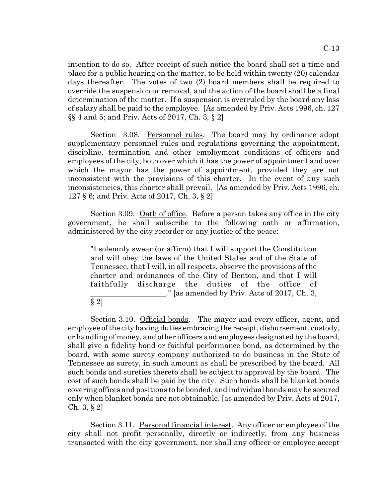intention to do so. After receipt of such notice the board shall set a time and place for a public hearing on the matter, to be held within twenty (20) calendar place for a public hearing on the matter, to be held within twenty (20) calendar days thereafter. The votes of two (2) board members shall be required to days thereafter. The votes of two (2) board members shall be required to override the suspension or removal, and the action of the board shall be a final determination of the matter. If a suspension is overruled by the board any loss determination of the matter. If a suspension is overruled by the board any loss of salary shall be paid to the employee. [As amended by Priv. Acts 1996, ch. 127 of salary shall be paid to the employee. [As amended by Priv. Acts 1996, ch. 127 §§ 4 and 5; and Priv. Acts of 2017, Ch. 3, § 2] §§ 4 and 5; and Priv. Acts of 2017, Ch. 3, § 2]

Section 3.08. Personnel rules. The board may by ordinance adopt supplementary personnel rules and regulations governing the appointment, supplementary personnel rules and regulations governing the appointment, discipline, termination and other employment conditions of officers and discipline, termination and other employment conditions of officers and employees of the city, both over which it has the power of appointment and over employees of the city, both over which it has the power of appointment and over which the mayor has the power of appointment, provided they are not which the mayor has the power of appointment, provided they are not inconsistent with the provisions of this charter. In the event of any such inconsistent with the provisions of this charter. In the event of any such inconsistencies, this charter shall prevail. [As amended by Priv. Acts 1996, ch. inconsistencies, this charter shall prevail. [As amended by Priv. Acts 1996, ch. 127 § 6; and Priv. Acts of 2017, Ch. 3, § 2] 127 § 6; and Priv. Acts of 2017, Ch. 3, § 2]

Section 3.09. Oath of office. Before a person takes any office in the city government, he shall subscribe to the following oath or affirmation, government, he shall subscribe to the following oath or affirmation, administered by the city recorder or any justice of the peace: administered by the city recorder or any justice of the peace:

"I solemnly swear (or affirm) that I will support the Constitution "I solemnly swear (or affirm) that I will support the Constitution and will obey the laws of the United States and of the State of and will obey the laws of the United States and of the State of Tennessee, that I will, in all respects, observe the provisions of the Tennessee, that I will, in all respects, observe the provisions of the charter and ordinances of the City of Benton, and that I will faithfully discharge the duties of the office of faithfully discharge the duties of the office of ." [as amended by Priv. Acts of 2017, Ch. 3, \_\_\_\_\_\_\_\_\_\_\_\_\_\_\_\_\_\_\_\_." [as amended by Priv. Acts of 2017, Ch. 3,

 $\S 2]$ 

Section 3.10. Official bonds. The mayor and every officer, agent, and employee of the city having duties embracing the receipt, disbursement, custody, employee of the city having duties embracing the receipt, disbursement, custody, or handling of money, and other officers and employees designated by the board, or handling of money, and other officers and employees designated by the board, shall give a fidelity bond or faithful performance bond, as determined by the shall give a fidelity bond or faithful performance bond, as determined by the board, with some surety company authorized to do business in the State of board, with some surety company authorized to do business in the State of Tennessee as surety, in such amount as shall be prescribed by the board. All Tennessee as surety, in such amount as shall be prescribed by the board. All such bonds and sureties thereto shall be subject to approval by the board. The such bonds and sureties thereto shall be subject to approval by the board. The cost of such bonds shall be paid by the city. Such bonds shall be blanket bonds cost of such bonds shall be paid by the city. Such bonds shall be blanket bonds covering offices and positions to be bonded, and individual bonds may be secured covering offices and positions to be bonded, and individual bonds may be secured only when blanket bonds are not obtainable. [as amended by Priv. Acts of 2017, Ch. 3, § 2] Ch. 3, § 2]

Section 3.11. Personal financial interest. Any officer or employee of the city shall not profit personally, directly or indirectly, from any business city shall not profit personally, directly or indirectly, from any business transacted with the city government, nor shall any officer or employee accept transacted with the city government, nor shall any officer or employee accept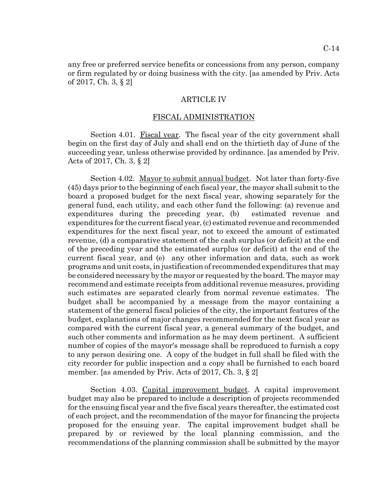any free or preferred service benefits or concessions from any person, company any free or preferred service benefits or concessions from any person, company or firm regulated by or doing business with the city. [as amended by Priv. Acts or firm regulated by or doing business with the city. [as amended by Priv. Acts of 2017, Ch. 3, § 2] of 2017, Ch. 3, § 2]

#### ARTICLE IV ARTICLE IV

#### FISCAL ADMINISTRATION FISCAL ADMINISTRATION

Section 4.01. Fiscal year. The fiscal year of the city government shall begin on the first day of July and shall end on the thirtieth day of June of the begin on the first day of July and shall end on the thirtieth day of June of the succeeding year, unless otherwise provided by ordinance. [as amended by Priv. succeeding year, unless otherwise provided by ordinance. [as amended by Priv. Acts of 2017, Ch. 3, § 2] Acts of 2017, Ch. 3, § 2]

Section 4.02. Mayor to submit annual budget. Not later than forty-five (45) days prior to the beginning of each fiscal year, the mayor shall submit to the (45) days prior to the beginning of each fiscal year, the mayor shall submit to the board a proposed budget for the next fiscal year, showing separately for the board a proposed budget for the next fiscal year, showing separately for the general fund, each utility, and each other fund the following: (a) revenue and general fund, each utility, and each other fund the following: (a) revenue and expenditures during the preceding year, (b) estimated revenue and expenditures during the preceding year, (b) estimated revenue and expenditures for the current fiscal year, (c) estimated revenue and recommended expenditures for the current fiscal year, (c) estimated revenue and recommended expenditures for the next fiscal year, not to exceed the amount of estimated expenditures for the next fiscal year, not to exceed the amount of estimated revenue, (d) a comparative statement of the cash surplus (or deficit) at the end of the preceding year and the estimated surplus (or deficit) at the end of the of the preceding year and the estimated surplus (or deficit) at the end of the current fiscal year, and (e) any other information and data, such as work current fiscal year, and (e) any other information and data, such as work programs and unit costs, in justification of recommended expenditures that may programs and unit costs, in justification of recommended expenditures that may be considered necessary by the mayor or requested by the board. The mayor may be considered necessary by the mayor or requested by the board. The mayor may recommend and estimate receipts from additional revenue measures, providing recommend and estimate receipts from additional revenue measures, providing such estimates are separated clearly from normal revenue estimates. The budget shall be accompanied by a message from the mayor containing a budget shall be accompanied by a message from the mayor containing a statement of the general fiscal policies of the city, the important features of the budget, explanations of major changes recommended for the next fiscal year as budget, explanations of major changes recommended for the next fiscal year as compared with the current fiscal year, a general summary of the budget, and compared with the current fiscal year, a general summary of the budget, and such other comments and information as he may deem pertinent. A sufficient such other comments and information as he may deem pertinent. A sufficient number of copies of the mayor's message shall be reproduced to furnish a copy number of copies of the mayor's message shall be reproduced to furnish a copy to any person desiring one. A copy of the budget in full shall be filed with the city recorder for public inspection and a copy shall be furnished to each board city recorder for public inspection and a copy shall be furnished to each board member. [as amended by Priv. Acts of 2017, Ch. 3, § 2] member. [as amended by Priv. Acts of 2017, Ch. 3, § 2]

Section 4.03. Capital improvement budget. A capital improvement budget may also be prepared to include a description of projects recommended budget may also be prepared to include a description of projects recommended for the ensuing fiscal year and the five fiscal years thereafter, the estimated cost for the ensuing fiscal year and the five fiscal years thereafter, the estimated cost of each project, and the recommendation of the mayor for financing the projects proposed for the ensuing year. The capital improvement budget shall be proposed for the ensuing year. The capital improvement budget shall be prepared by or reviewed by the local planning commission, and the prepared by or reviewed by the local planning commission, and the recommendations of the planning commission shall be submitted by the mayor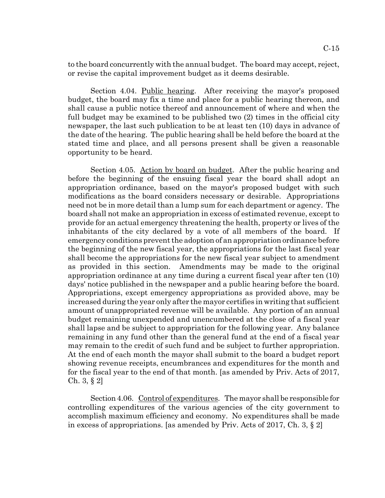to the board concurrently with the annual budget. The board may accept, reject, to the board concurrently with the annual budget. The board may accept, reject, or revise the capital improvement budget as it deems desirable. or revise the capital improvement budget as it deems desirable.

Section 4.04. Public hearing. After receiving the mayor's proposed budget, the board may fix a time and place for a public hearing thereon, and budget, the board may fix a time and place for a public hearing thereon, and shall cause a public notice thereof and announcement of where and when the shall cause a public notice thereof and announcement of where and when the full budget may be examined to be published two (2) times in the official city full budget may be examined to be published two (2) times in the official city newspaper, the last such publication to be at least ten (10) days in advance of newspaper, the last such publication to be at least ten (10) days in advance of the date of the hearing. The public hearing shall be held before the board at the stated time and place, and all persons present shall be given a reasonable stated time and place, and all persons present shall be given a reasonable opportunity to be heard. opportunity to be heard.

Section 4.05. Action by board on budget. After the public hearing and before the beginning of the ensuing fiscal year the board shall adopt an before the beginning of the ensuing fiscal year the board shall adopt an appropriation ordinance, based on the mayor's proposed budget with such appropriation ordinance, based on the mayor's proposed budget with such modifications as the board considers necessary or desirable. Appropriations modifications as the board considers necessary or desirable. Appropriations need not be in more detail than a lump sum for each department or agency. The need not be in more detail than a lump sum for each department or agency. The board shall not make an appropriation in excess of estimated revenue, except to board shall not make an appropriation in excess of estimated revenue, except to provide for an actual emergency threatening the health, property or lives of the provide for an actual emergency threatening the health, property or lives of the inhabitants of the city declared by a vote of all members of the board. If emergency conditions prevent the adoption of an appropriation ordinance before the beginning of the new fiscal year, the appropriations for the last fiscal year the beginning of the new fiscal year, the appropriations for the last fiscal year shall become the appropriations for the new fiscal year subject to amendment shall become the appropriations for the new fiscal year subject to amendment as provided in this section. Amendments may be made to the original as provided in this section. Amendments may be made to the original appropriation ordinance at any time during a current fiscal year after ten (10) appropriation ordinance at any time during a current fiscal year after ten (10) days' notice published in the newspaper and a public hearing before the board. days' notice published in the newspaper and a public hearing before the board. Appropriations, except emergency appropriations as provided above, may be Appropriations, except emergency appropriations as provided above, may be increased during the year only after the mayor certifies in writing that sufficient increased during the year only after the mayor certifies in writing that sufficient amount of unappropriated revenue will be available. Any portion of an annual amount of unappropriated revenue will be available. Any portion of an annual budget remaining unexpended and unencumbered at the close of a fiscal year budget remaining unexpended and unencumbered at the close of a fiscal year shall lapse and be subject to appropriation for the following year. Any balance shall lapse and be subject to appropriation for the following year. Any balance remaining in any fund other than the general fund at the end of a fiscal year may remain to the credit of such fund and be subject to further appropriation. may remain to the credit of such fund and be subject to further appropriation. At the end of each month the mayor shall submit to the board a budget report At the end of each month the mayor shall submit to the board a budget report showing revenue receipts, encumbrances and expenditures for the month and showing revenue receipts, encumbrances and expenditures for the month and for the fiscal year to the end of that month. [as amended by Priv. Acts of 2017, for the fiscal year to the end of that month. [as amended by Priv. Acts of 2017, Ch. 3, § 2] Ch. 3, § 2]

Section 4.06. Control of expenditures. The mayor shall be responsible for controlling expenditures of the various agencies of the city government to accomplish maximum efficiency and economy. No expenditures shall be made accomplish maximum efficiency and economy. No expenditures shall be made in excess of appropriations. [as amended by Priv. Acts of 2017, Ch. 3, § 2] in excess of appropriations. [as amended by Priv. Acts of 2017, Ch. 3, § 2]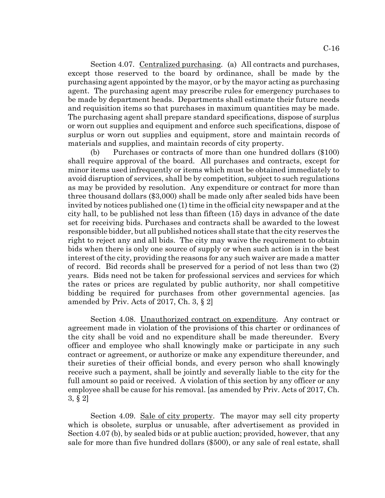Section 4.07. Centralized purchasing. (a) All contracts and purchases, except those reserved to the board by ordinance, shall be made by the except those reserved to the board by ordinance, shall be made by the purchasing agent appointed by the mayor, or by the mayor acting as purchasing purchasing agent appointed by the mayor, or by the mayor acting as purchasing agent. The purchasing agent may prescribe rules for emergency purchases to be made by department heads. Departments shall estimate their future needs be made by department heads. Departments shall estimate their future needs and requisition items so that purchases in maximum quantities may be made. and requisition items so that purchases in maximum quantities may be made. The purchasing agent shall prepare standard specifications, dispose of surplus The purchasing agent shall prepare standard specifications, dispose of surplus or worn out supplies and equipment and enforce such specifications, dispose of or worn out supplies and equipment and enforce such specifications, dispose of surplus or worn out supplies and equipment, store and maintain records of surplus or worn out supplies and equipment, store and maintain records of materials and supplies, and maintain records of city property. materials and supplies, and maintain records of city property.

(b) Purchases or contracts of more than one hundred dollars (\$100) (b) Purchases or contracts of more than one hundred dollars (\$100) shall require approval of the board. All purchases and contracts, except for shall require approval of the board. All purchases and contracts, except for minor items used infrequently or items which must be obtained immediately to minor items used infrequently or items which must be obtained immediately to avoid disruption of services, shall be by competition, subject to such regulations avoid disruption of services, shall be by competition, subject to such regulations as may be provided by resolution. Any expenditure or contract for more than as may be provided by resolution. Any expenditure or contract for more than three thousand dollars (\$3,000) shall be made only after sealed bids have been three thousand dollars (\$3,000) shall be made only after sealed bids have been invited by notices published one (1) time in the official city newspaper and at the invited by notices published one (1) time in the official city newspaper and at the city hall, to be published not less than fifteen (15) days in advance of the date city hall, to be published not less than fifteen (15) days in advance of the date set for receiving bids. Purchases and contracts shall be awarded to the lowest responsible bidder, but all published notices shall state that the city reserves the right to reject any and all bids. The city may waive the requirement to obtain right to reject any and all bids. The city may waive the requirement to obtain bids when there is only one source of supply or when such action is in the best bids when there is only one source of supply or when such action is in the best interest of the city, providing the reasons for any such waiver are made a matter interest of the city, providing the reasons for any such waiver are made a matter of record. Bid records shall be preserved for a period of not less than two (2) of record. Bid records shall be preserved for a period of not less than two (2) years. Bids need not be taken for professional services and services for which years. Bids need not be taken for professional services and services for which the rates or prices are regulated by public authority, nor shall competitive the rates or prices are regulated by public authority, nor shall competitive bidding be required for purchases from other governmental agencies. [as bidding be required for purchases from other governmental agencies. [as amended by Priv. Acts of 2017, Ch. 3, § 2] amended by Priv. Acts of 2017, Ch. 3, § 2]

Section 4.08. Unauthorized contract on expenditure. Any contract or agreement made in violation of the provisions of this charter or ordinances of agreement made in violation of the provisions of this charter or ordinances of the city shall be void and no expenditure shall be made thereunder. Every the city shall be void and no expenditure shall be made thereunder. Every officer and employee who shall knowingly make or participate in any such officer and employee who shall knowingly make or participate in any such contract or agreement, or authorize or make any expenditure thereunder, and contract or agreement, or authorize or make any expenditure thereunder, and their sureties of their official bonds, and every person who shall knowingly their sureties of their official bonds, and every person who shall knowingly receive such a payment, shall be jointly and severally liable to the city for the full amount so paid or received. A violation of this section by any officer or any employee shall be cause for his removal. [as amended by Priv. Acts of 2017, Ch. employee shall be cause for his removal. [as amended by Priv. Acts of 2017, Ch.  $3, \S 2]$ 

Section 4.09. Sale of city property. The mayor may sell city property which is obsolete, surplus or unusable, after advertisement as provided in which is obsolete, surplus or unusable, after advertisement as provided in Section 4.07 (b), by sealed bids or at public auction; provided, however, that any Section 4.07 (b), by sealed bids or at public auction; provided, however, that any sale for more than five hundred dollars (\$500), or any sale of real estate, shall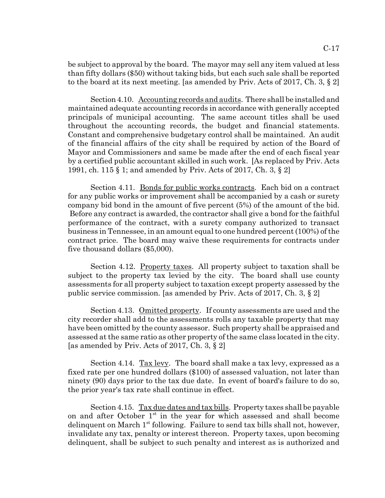be subject to approval by the board. The mayor may sell any item valued at less be subject to approval by the board. The mayor may sell any item valued at less than fifty dollars (\$50) without taking bids, but each such sale shall be reported than fifty dollars (\$50) without taking bids, but each such sale shall be reported to the board at its next meeting. [as amended by Priv. Acts of 2017, Ch. 3, § 2]

Section 4.10. Accounting records and audits. There shall be installed and maintained adequate accounting records in accordance with generally accepted maintained adequate accounting records in accordance with generally accepted principals of municipal accounting. The same account titles shall be used principals of municipal accounting. The same account titles shall be used throughout the accounting records, the budget and financial statements. throughout the accounting records, the budget and financial statements. Constant and comprehensive budgetary control shall be maintained. An audit Constant and comprehensive budgetary control shall be maintained. An audit of the financial affairs of the city shall be required by action of the Board of of the financial affairs of the city shall be required by action of the Board of Mayor and Commissioners and same be made after the end of each fiscal year Mayor and Commissioners and same be made after the end of each fiscal year by a certified public accountant skilled in such work. [As replaced by Priv. Acts by a certified public accountant skilled in such work. [As replaced by Priv. Acts 1991, ch. 115 § 1; and amended by Priv. Acts of 2017, Ch. 3, § 2] 1991, ch. 115 § 1; and amended by Priv. Acts of 2017, Ch. 3, § 2]

Section 4.11. Bonds for public works contracts. Each bid on a contract for any public works or improvement shall be accompanied by a cash or surety for any public works or improvement shall be accompanied by a cash or surety company bid bond in the amount of five percent (5%) of the amount of the bid. company bid bond in the amount of five percent (5%) of the amount of the bid. Before any contract is awarded, the contractor shall give a bond for the faithful Before any contract is awarded, the contractor shall give a bond for the faithful performance of the contract, with a surety company authorized to transact performance of the contract, with a surety company authorized to transact business in Tennessee, in an amount equal to one hundred percent (100%) of the business in Tennessee, in an amount equal to one hundred percent (100%) of the contract price. The board may waive these requirements for contracts under five thousand dollars (\$5,000). five thousand dollars (\$5,000).

Section 4.12. Property taxes. All property subject to taxation shall be subject to the property tax levied by the city. The board shall use county subject to the property tax levied by the city. The board shall use county assessments for all property subject to taxation except property assessed by the assessments for all property subject to taxation except property assessed by the public service commission. [as amended by Priv. Acts of 2017, Ch. 3, § 2] public service commission. [as amended by Priv. Acts of 2017, Ch. 3, § 2]

Section 4.13. Omitted property. If county assessments are used and the city recorder shall add to the assessments rolls any taxable property that may city recorder shall add to the assessments rolls any taxable property that may have been omitted by the county assessor. Such property shall be appraised and have been omitted by the county assessor. Such property shall be appraised and assessed at the same ratio as other property of the same class located in the city. assessed at the same ratio as other property of the same class located in the city. [as amended by Priv. Acts of 2017, Ch. 3, § 2] [as amended by Priv. Acts of 2017, Ch. 3, § 2]

Section 4.14. Tax levy. The board shall make a tax levy, expressed as a fixed rate per one hundred dollars (\$100) of assessed valuation, not later than fixed rate per one hundred dollars (\$100) of assessed valuation, not later than ninety (90) days prior to the tax due date. In event of board's failure to do so, ninety (90) days prior to the tax due date. In event of board's failure to do so, the prior year's tax rate shall continue in effect. the prior year's tax rate shall continue in effect.

Section 4.15. Tax due dates and tax bills. Property taxes shall be payable on and after October 1<sup>st</sup> in the year for which assessed and shall become delinquent on March 1<sup>st</sup> following. Failure to send tax bills shall not, however, invalidate any tax, penalty or interest thereon. Property taxes, upon becoming invalidate any tax, penalty or interest thereon. Property taxes, upon becoming delinquent, shall be subject to such penalty and interest as is authorized and delinquent, shall be subject to such penalty and interest as is authorized and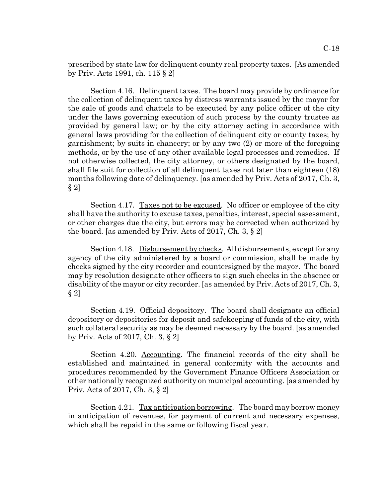prescribed by state law for delinquent county real property taxes. [As amended prescribed by state law for delinquent county real property taxes. [As amended by Priv. Acts 1991, ch. 115 § 2] by Priv. Acts 1991, ch. 115 § 2]

Section 4.16. Delinquent taxes. The board may provide by ordinance for the collection of delinquent taxes by distress warrants issued by the mayor for the collection of delinquent taxes by distress warrants issued by the mayor for the sale of goods and chattels to be executed by any police officer of the city the sale of goods and chattels to be executed by any police officer of the city under the laws governing execution of such process by the county trustee as under the laws governing execution of such process by the county trustee as provided by general law; or by the city attorney acting in accordance with provided by general law; or by the city attorney acting in accordance with general laws providing for the collection of delinquent city or county taxes; by general laws providing for the collection of delinquent city or county taxes; by garnishment; by suits in chancery; or by any two (2) or more of the foregoing garnishment; by suits in chancery; or by any two (2) or more of the foregoing methods, or by the use of any other available legal processes and remedies. If methods, or by the use of any other available legal processes and remedies. If not otherwise collected, the city attorney, or others designated by the board, not otherwise collected, the city attorney, or others designated by the board, shall file suit for collection of all delinquent taxes not later than eighteen (18) shall file suit for collection of all delinquent taxes not later than eighteen (18) months following date of delinquency. [as amended by Priv. Acts of 2017, Ch. 3, months following date of delinquency. [as amended by Priv. Acts of 2017, Ch. 3,  $\S 2]$ 

Section 4.17. Taxes not to be excused. No officer or employee of the city shall have the authority to excuse taxes, penalties, interest, special assessment, shall have the authority to excuse taxes, penalties, interest, special assessment, or other charges due the city, but errors may be corrected when authorized by or other charges due the city, but errors may be corrected when authorized by the board. [as amended by Priv. Acts of 2017, Ch. 3, § 2]

Section 4.18. Disbursement by checks. All disbursements, except for any agency of the city administered by a board or commission, shall be made by agency of the city administered by a board or commission, shall be made by checks signed by the city recorder and countersigned by the mayor. The board checks signed by the city recorder and countersigned by the mayor. The board may by resolution designate other officers to sign such checks in the absence or may by resolution designate other officers to sign such checks in the absence or disability of the mayor or city recorder. [as amended by Priv. Acts of 2017, Ch. 3, disability of the mayor or city recorder. [as amended by Priv. Acts of 2017, Ch. 3,  $\S 2]$ 

Section 4.19. Official depository. The board shall designate an official depository or depositories for deposit and safekeeping of funds of the city, with depository or depositories for deposit and safekeeping of funds of the city, with such collateral security as may be deemed necessary by the board. [as amended such collateral security as may be deemed necessary by the board. [as amended by Priv. Acts of 2017, Ch. 3, § 2] by Priv. Acts of 2017, Ch. 3, § 2]

Section 4.20. Accounting. The financial records of the city shall be Section 4.20. Accounting. The financial records of the city shall be established and maintained in general conformity with the accounts and established and maintained in general conformity with the accounts and procedures recommended by the Government Finance Officers Association or procedures recommended by the Government Finance Officers Association or other nationally recognized authority on municipal accounting. [as amended by other nationally recognized authority on municipal accounting. [as amended by Priv. Acts of 2017, Ch. 3, § 2] Priv. Acts of 2017, Ch. 3, § 2]

Section 4.21. Tax anticipation borrowing. The board may borrow money in anticipation of revenues, for payment of current and necessary expenses, in anticipation of revenues, for payment of current and necessary expenses, which shall be repaid in the same or following fiscal year. which shall be repaid in the same or following fiscal year.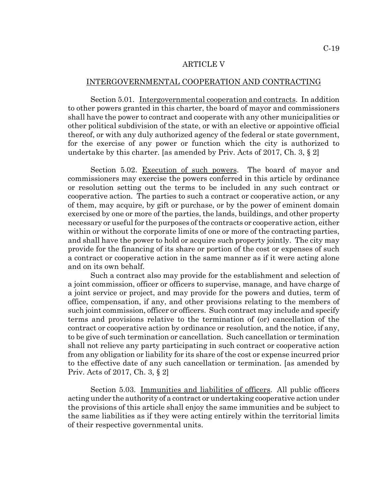#### ARTICLE V ARTICLE V

#### INTERGOVERNMENTAL COOPERATION AND CONTRACTING INTERGOVERNMENTAL COOPERATION AND CONTRACTING

Section 5.01. Intergovernmental cooperation and contracts. In addition to other powers granted in this charter, the board of mayor and commissioners to other powers granted in this charter, the board of mayor and commissioners shall have the power to contract and cooperate with any other municipalities or shall have the power to contract and cooperate with any other municipalities or other political subdivision of the state, or with an elective or appointive official other political subdivision of the state, or with an elective or appointive official thereof, or with any duly authorized agency of the federal or state government, thereof, or with any duly authorized agency of the federal or state government, for the exercise of any power or function which the city is authorized to for the exercise of any power or function which the city is authorized to undertake by this charter. [as amended by Priv. Acts of 2017, Ch. 3, § 2] undertake by this charter. [as amended by Priv. Acts of 2017, Ch. 3, § 2]

Section 5.02. Execution of such powers. The board of mayor and commissioners may exercise the powers conferred in this article by ordinance commissioners may exercise the powers conferred in this article by ordinance or resolution setting out the terms to be included in any such contract or cooperative action. The parties to such a contract or cooperative action, or any cooperative action. The parties to such a contract or cooperative action, or any of them, may acquire, by gift or purchase, or by the power of eminent domain exercised by one or more of the parties, the lands, buildings, and other property exercised by one or more of the parties, the lands, buildings, and other property necessary or useful for the purposes of the contracts or cooperative action, either necessary or useful for the purposes of the contracts or cooperative action, either within or without the corporate limits of one or more of the contracting parties, within or without the corporate limits of one or more of the contracting parties, and shall have the power to hold or acquire such property jointly. The city may and shall have the power to hold or acquire such property jointly. The city may provide for the financing of its share or portion of the cost or expenses of such provide for the financing of its share or portion of the cost or expenses of such a contract or cooperative action in the same manner as if it were acting alone a contract or cooperative action in the same manner as if it were acting alone and on its own behalf. and on its own behalf.

Such a contract also may provide for the establishment and selection of Such a contract also may provide for the establishment and selection of a joint commission, officer or officers to supervise, manage, and have charge of a joint commission, officer or officers to supervise, manage, and have charge of a joint service or project, and may provide for the powers and duties, term of a joint service or project, and may provide for the powers and duties, term of office, compensation, if any, and other provisions relating to the members of such joint commission, officer or officers. Such contract may include and specify such joint commission, officer or officers. Such contract may include and specify terms and provisions relative to the termination of (or) cancellation of the contract or cooperative action by ordinance or resolution, and the notice, if any, contract or cooperative action by ordinance or resolution, and the notice, if any, to be give of such termination or cancellation. Such cancellation or termination to be give of such termination or cancellation. Such cancellation or termination shall not relieve any party participating in such contract or cooperative action shall not relieve any party participating in such contract or cooperative action from any obligation or liability for its share of the cost or expense incurred prior from any obligation or liability for its share of the cost or expense incurred prior to the effective date of any such cancellation or termination. [as amended by to the effective date of any such cancellation or termination. [as amended by Priv. Acts of 2017, Ch. 3, § 2] Priv. Acts of 2017, Ch. 3, § 2]

Section 5.03. Immunities and liabilities of officers. All public officers acting under the authority of a contract or undertaking cooperative action under the provisions of this article shall enjoy the same immunities and be subject to the same liabilities as if they were acting entirely within the territorial limits the same liabilities as if they were acting entirely within the territorial limits of their respective governmental units. of their respective governmental units.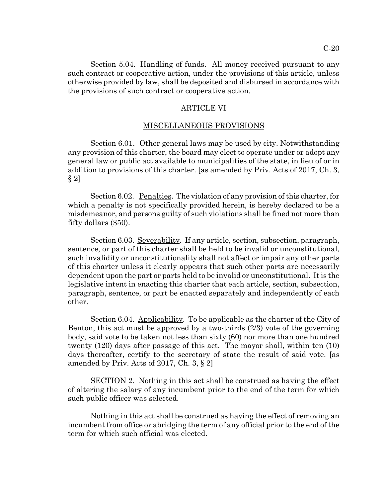ARTICLE VI ARTICLE VI

the provisions of such contract or cooperative action. the provisions of such contract or cooperative action.

# MISCELLANEOUS PROVISIONS MISCELLANEOUS PROVISIONS

Section 6.01. Other general laws may be used by city. Notwithstanding any provision of this charter, the board may elect to operate under or adopt any any provision of this charter, the board may elect to operate under or adopt any general law or public act available to municipalities of the state, in lieu of or in general law or public act available to municipalities of the state, in lieu of or in addition to provisions of this charter. [as amended by Priv. Acts of 2017, Ch. 3, addition to provisions of this charter. [as amended by Priv. Acts of 2017, Ch. 3,  $\S 2]$ 

Section 6.02. Penalties. The violation of any provision of this charter, for which a penalty is not specifically provided herein, is hereby declared to be a which a penalty is not specifically provided herein, is hereby declared to be a misdemeanor, and persons guilty of such violations shall be fined not more than misdemeanor, and persons guilty of such violations shall be fined not more than fifty dollars (\$50). fifty dollars (\$50).

Section 6.03. Severability. If any article, section, subsection, paragraph, sentence, or part of this charter shall be held to be invalid or unconstitutional, sentence, or part of this charter shall be held to be invalid or unconstitutional, such invalidity or unconstitutionality shall not affect or impair any other parts such invalidity or unconstitutionality shall not affect or impair any other parts of this charter unless it clearly appears that such other parts are necessarily of this charter unless it clearly appears that such other parts are necessarily dependent upon the part or parts held to be invalid or unconstitutional. It is the dependent upon the part or parts held to be invalid or unconstitutional. It is the legislative intent in enacting this charter that each article, section, subsection, legislative intent in enacting this charter that each article, section, subsection, paragraph, sentence, or part be enacted separately and independently of each paragraph, sentence, or part be enacted separately and independently of each other. other.

Section 6.04. Applicability. To be applicable as the charter of the City of Benton, this act must be approved by a two-thirds (2/3) vote of the governing Benton, this act must be approved by a two-thirds (2/3) vote of the governing body, said vote to be taken not less than sixty (60) nor more than one hundred body, said vote to be taken not less than sixty (60) nor more than one hundred twenty (120) days after passage of this act. The mayor shall, within ten (10) twenty (120) days after passage of this act. The mayor shall, within ten (10) days thereafter, certify to the secretary of state the result of said vote. [as days thereafter, certify to the secretary of state the result of said vote. [as amended by Priv. Acts of 2017, Ch. 3, § 2] amended by Priv. Acts of 2017, Ch. 3, § 2]

SECTION 2. Nothing in this act shall be construed as having the effect SECTION 2. Nothing in this act shall be construed as having the effect of altering the salary of any incumbent prior to the end of the term for which of altering the salary of any incumbent prior to the end of the term for which such public officer was selected. such public officer was selected.

Nothing in this act shall be construed as having the effect of removing an Nothing in this act shall be construed as having the effect of removing an incumbent from office or abridging the term of any official prior to the end of the incumbent from office or abridging the term of any official prior to the end of the term for which such official was elected. term for which such official was elected.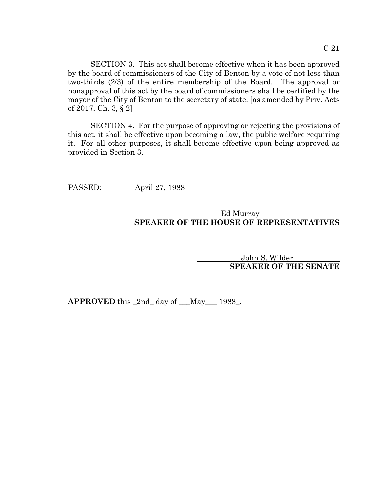SECTION 3. This act shall become effective when it has been approved SECTION 3. This act shall become effective when it has been approved by the board of commissioners of the City of Benton by a vote of not less than by the board of commissioners of the City of Benton by a vote of not less than two-thirds (2/3) of the entire membership of the Board. The approval or two-thirds (2/3) of the entire membership of the Board. The approval or nonapproval of this act by the board of commissioners shall be certified by the nonapproval of this act by the board of commissioners shall be certified by the mayor of the City of Benton to the secretary of state. [as amended by Priv. Acts mayor of the City of Benton to the secretary of state. [as amended by Priv. Acts of 2017, Ch. 3, § 2] of 2017, Ch. 3, § 2]

SECTION 4. For the purpose of approving or rejecting the provisions of SECTION 4. For the purpose of approving or rejecting the provisions of this act, it shall be effective upon becoming a law, the public welfare requiring this act, it shall be effective upon becoming a law, the public welfare requiring it. For all other purposes, it shall become effective upon being approved as it. For all other purposes, it shall become effective upon being approved as provided in Section 3. provided in Section 3.

PASSED: April 27, 1988

# Ed Murray SPEAKER OF THE HOUSE OF REPRESENTATIVES **SPEAKER OF THE HOUSE OF REPRESENTATIVES**

John S. Wilder John S. Wilder SPEAKER OF THE SENATE **SPEAKER OF THE SENATE**

 $APPROVED this_2nd_day of_May_1988.$